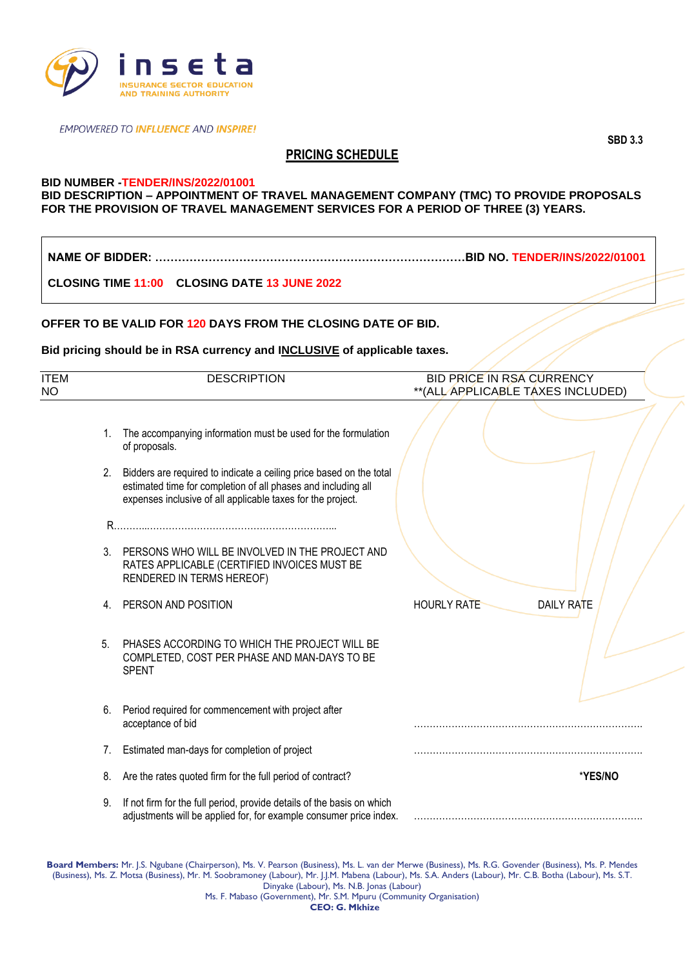

**EMPOWERED TO INFLUENCE AND INSPIRE!** 

# **PRICING SCHEDULE**

## **BID NUMBER -TENDER/INS/2022/01001**

### **BID DESCRIPTION – APPOINTMENT OF TRAVEL MANAGEMENT COMPANY (TMC) TO PROVIDE PROPOSALS FOR THE PROVISION OF TRAVEL MANAGEMENT SERVICES FOR A PERIOD OF THREE (3) YEARS.**

**NAME OF BIDDER: ………………………………………………………………………BID NO. TENDER/INS/2022/01001**

**CLOSING TIME 11:00 CLOSING DATE 13 JUNE 2022**

#### **OFFER TO BE VALID FOR 120 DAYS FROM THE CLOSING DATE OF BID.**

#### **Bid pricing should be in RSA currency and INCLUSIVE of applicable taxes.**

| <b>ITEM</b><br><b>NO</b> |                | <b>DESCRIPTION</b>                                                                                                                                                                                     | <b>BID PRICE IN RSA CURRENCY</b><br>**(ALL APPLICABLE TAXES INCLUDED) |
|--------------------------|----------------|--------------------------------------------------------------------------------------------------------------------------------------------------------------------------------------------------------|-----------------------------------------------------------------------|
|                          | $1_{\cdot}$    | The accompanying information must be used for the formulation<br>of proposals.                                                                                                                         |                                                                       |
|                          |                | 2. Bidders are required to indicate a ceiling price based on the total<br>estimated time for completion of all phases and including all<br>expenses inclusive of all applicable taxes for the project. |                                                                       |
|                          |                |                                                                                                                                                                                                        |                                                                       |
|                          |                | 3. PERSONS WHO WILL BE INVOLVED IN THE PROJECT AND<br>RATES APPLICABLE (CERTIFIED INVOICES MUST BE<br>RENDERED IN TERMS HEREOF)                                                                        |                                                                       |
|                          | 4.             | PERSON AND POSITION                                                                                                                                                                                    | <b>HOURLY RATE</b><br>DAILY RATE                                      |
|                          | 5 <sub>1</sub> | PHASES ACCORDING TO WHICH THE PROJECT WILL BE<br>COMPLETED, COST PER PHASE AND MAN-DAYS TO BE<br><b>SPENT</b>                                                                                          |                                                                       |
|                          | 6.             | Period required for commencement with project after<br>acceptance of bid                                                                                                                               |                                                                       |
|                          | 7.             | Estimated man-days for completion of project                                                                                                                                                           |                                                                       |
|                          | 8.             | Are the rates quoted firm for the full period of contract?                                                                                                                                             | *YES/NO                                                               |
|                          | 9.             | If not firm for the full period, provide details of the basis on which<br>adjustments will be applied for, for example consumer price index.                                                           |                                                                       |

**Board Members:** Mr. J.S. Ngubane (Chairperson), Ms. V. Pearson (Business), Ms. L. van der Merwe (Business), Ms. R.G. Govender (Business), Ms. P. Mendes (Business), Ms. Z. Motsa (Business), Mr. M. Soobramoney (Labour), Mr. J.J.M. Mabena (Labour), Ms. S.A. Anders (Labour), Mr. C.B. Botha (Labour), Ms. S.T. Dinyake (Labour), Ms. N.B. Jonas (Labour) Ms. F. Mabaso (Government), Mr. S.M. Mpuru (Community Organisation) **CEO: G. Mkhize**